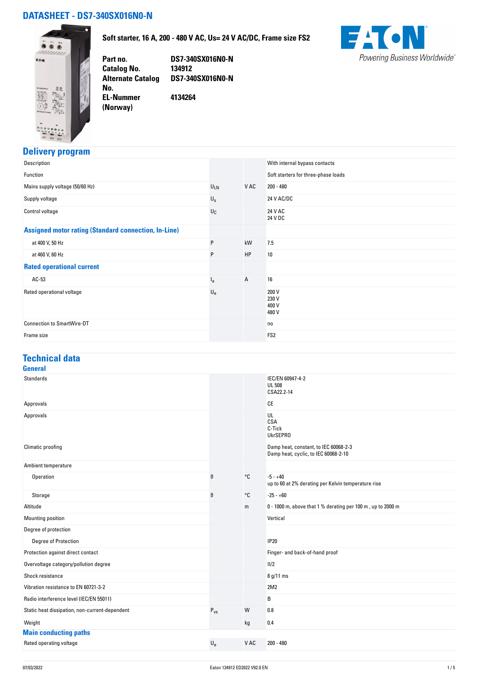## **DATASHEET - DS7-340SX016N0-N**



**Soft starter, 16 A, 200 - 480 V AC, Us= 24 V AC/DC, Frame size FS2**



**Part no. DS7-340SX016N0-N Catalog No. 134912 Alternate Catalog DS7-340SX016N0-N No. EL-Nummer (Norway) 4134264**

### **Delivery program**

| Description                                                 |                  |      | With internal bypass contacts       |
|-------------------------------------------------------------|------------------|------|-------------------------------------|
| Function                                                    |                  |      | Soft starters for three-phase loads |
| Mains supply voltage (50/60 Hz)                             | $U_{LN}$         | V AC | $200 - 480$                         |
| Supply voltage                                              | $U_{\rm S}$      |      | 24 V AC/DC                          |
| Control voltage                                             | $U_{\mathbb{C}}$ |      | 24 V AC<br>24 V DC                  |
| <b>Assigned motor rating (Standard connection, In-Line)</b> |                  |      |                                     |
| at 400 V, 50 Hz                                             | P                | kW   | 7.5                                 |
| at 460 V, 60 Hz                                             | P                | HP   | 10                                  |
| <b>Rated operational current</b>                            |                  |      |                                     |
| $AC-53$                                                     | l <sub>e</sub>   | A    | 16                                  |
| Rated operational voltage                                   | $U_{e}$          |      | 200 V<br>230 V<br>400 V<br>480 V    |
| <b>Connection to SmartWire-DT</b>                           |                  |      | no                                  |
| Frame size                                                  |                  |      | FS <sub>2</sub>                     |

#### **Technical data General**

| <b>Standards</b>                               |             |              | IEC/EN 60947-4-2<br><b>UL 508</b><br>CSA22.2-14                               |  |
|------------------------------------------------|-------------|--------------|-------------------------------------------------------------------------------|--|
| Approvals                                      |             |              | CE                                                                            |  |
| Approvals                                      |             |              | UL<br>CSA<br>C-Tick<br><b>UkrSEPRO</b>                                        |  |
| Climatic proofing                              |             |              | Damp heat, constant, to IEC 60068-2-3<br>Damp heat, cyclic, to IEC 60068-2-10 |  |
| Ambient temperature                            |             |              |                                                                               |  |
| Operation                                      | θ           | °C           | $-5 - +40$<br>up to 60 at 2% derating per Kelvin temperature rise             |  |
| Storage                                        | $\theta$    | $^{\circ}$ C | $-25 - +60$                                                                   |  |
| Altitude                                       |             | m            | 0 - 1000 m, above that 1 % derating per 100 m, up to 2000 m                   |  |
| Mounting position                              |             |              | Vertical                                                                      |  |
| Degree of protection                           |             |              |                                                                               |  |
| Degree of Protection                           |             |              | <b>IP20</b>                                                                   |  |
| Protection against direct contact              |             |              | Finger- and back-of-hand proof                                                |  |
| Overvoltage category/pollution degree          |             |              | 11/2                                                                          |  |
| Shock resistance                               |             |              | 8 g/11 ms                                                                     |  |
| Vibration resistance to EN 60721-3-2           |             |              | 2M2                                                                           |  |
| Radio interference level (IEC/EN 55011)        |             |              | B                                                                             |  |
| Static heat dissipation, non-current-dependent | $P_{VS}$    | W            | 0.8                                                                           |  |
| Weight                                         |             | kg           | 0.4                                                                           |  |
| <b>Main conducting paths</b>                   |             |              |                                                                               |  |
| Rated operating voltage                        | $U_{\rm e}$ | V AC         | $200 - 480$                                                                   |  |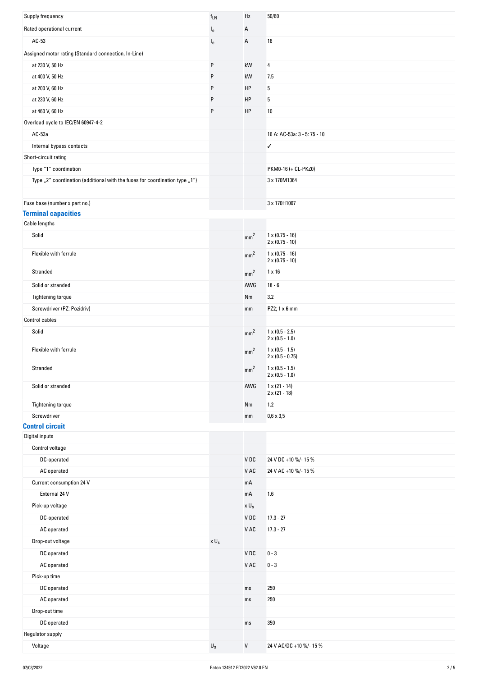| Supply frequency                                                            | $f_{LN}$                | Hz              | 50/60                                            |
|-----------------------------------------------------------------------------|-------------------------|-----------------|--------------------------------------------------|
| Rated operational current                                                   | $I_{e}$                 | А               |                                                  |
| AC-53                                                                       | $I_e$                   | Α               | 16                                               |
| Assigned motor rating (Standard connection, In-Line)                        |                         |                 |                                                  |
| at 230 V, 50 Hz                                                             | P                       | kW              | 4                                                |
| at 400 V, 50 Hz                                                             | P                       | kW              | 7.5                                              |
| at 200 V, 60 Hz                                                             | ${\sf P}$               | HP              | 5                                                |
| at 230 V, 60 Hz                                                             | P                       | HP              | 5                                                |
| at 460 V, 60 Hz                                                             | ${\sf P}$               | HP              | 10                                               |
| Overload cycle to IEC/EN 60947-4-2                                          |                         |                 |                                                  |
| AC-53a                                                                      |                         |                 | 16 A: AC-53a: 3 - 5: 75 - 10                     |
| Internal bypass contacts                                                    |                         |                 | ✓                                                |
| Short-circuit rating                                                        |                         |                 |                                                  |
| Type "1" coordination                                                       |                         |                 | PKM0-16 (+ CL-PKZ0)                              |
| Type "2" coordination (additional with the fuses for coordination type "1") |                         |                 | 3 x 170M1364                                     |
|                                                                             |                         |                 |                                                  |
| Fuse base (number x part no.)                                               |                         |                 | 3 x 170H1007                                     |
| <b>Terminal capacities</b>                                                  |                         |                 |                                                  |
| Cable lengths                                                               |                         |                 |                                                  |
| Solid                                                                       |                         | mm <sup>2</sup> | $1 \times (0.75 - 16)$                           |
|                                                                             |                         |                 | $2 \times (0.75 - 10)$                           |
| Flexible with ferrule                                                       |                         | mm <sup>2</sup> | $1 \times (0.75 - 16)$<br>$2 \times (0.75 - 10)$ |
| Stranded                                                                    |                         | mm <sup>2</sup> | $1 \times 16$                                    |
| Solid or stranded                                                           |                         | AWG             | $18 - 6$                                         |
| Tightening torque                                                           |                         | Nm              | 3.2                                              |
| Screwdriver (PZ: Pozidriv)                                                  |                         | mm              | PZ2; 1 x 6 mm                                    |
| <b>Control cables</b>                                                       |                         |                 |                                                  |
| Solid                                                                       |                         |                 | $1 \times (0.5 - 2.5)$                           |
|                                                                             |                         | mm <sup>2</sup> | $2 \times (0.5 - 1.0)$                           |
| Flexible with ferrule                                                       |                         | mm <sup>2</sup> | $1 \times (0.5 - 1.5)$                           |
|                                                                             |                         |                 | $2 \times (0.5 - 0.75)$                          |
| Stranded                                                                    |                         | mm <sup>2</sup> | $1 \times (0.5 - 1.5)$<br>$2 \times (0.5 - 1.0)$ |
| Solid or stranded                                                           |                         | AWG             | $1 \times (21 - 14)$                             |
|                                                                             |                         |                 | $2 \times (21 - 18)$                             |
| Tightening torque                                                           |                         | Nm              | 1.2                                              |
| Screwdriver                                                                 |                         | mm              | $0,6 \times 3,5$                                 |
| <b>Control circuit</b><br>Digital inputs                                    |                         |                 |                                                  |
| Control voltage                                                             |                         |                 |                                                  |
| DC-operated                                                                 |                         | V DC            | 24 V DC +10 %/- 15 %                             |
| AC operated                                                                 |                         | V AC            | 24 V AC +10 %/- 15 %                             |
| Current consumption 24 V                                                    |                         | mA              |                                                  |
| External 24 V                                                               |                         | mA              | 1.6                                              |
|                                                                             |                         |                 |                                                  |
| Pick-up voltage                                                             |                         | $x \cup_s$      |                                                  |
| DC-operated                                                                 |                         | VDC             | $17.3 - 27$                                      |
| AC operated                                                                 |                         | V AC            | $17.3 - 27$                                      |
| Drop-out voltage                                                            | $\times$ U $_{\rm S}$   |                 |                                                  |
| DC operated                                                                 |                         | VDC             | $0 - 3$                                          |
| AC operated                                                                 |                         | V AC            | $0 - 3$                                          |
| Pick-up time                                                                |                         |                 |                                                  |
| DC operated                                                                 |                         | ms              | 250                                              |
| AC operated                                                                 |                         | ms              | 250                                              |
| Drop-out time                                                               |                         |                 |                                                  |
| DC operated                                                                 |                         | ms              | 350                                              |
| Regulator supply                                                            |                         |                 |                                                  |
| Voltage                                                                     | $\mathsf{U}_\mathsf{S}$ | ${\sf V}$       | 24 V AC/DC +10 %/- 15 %                          |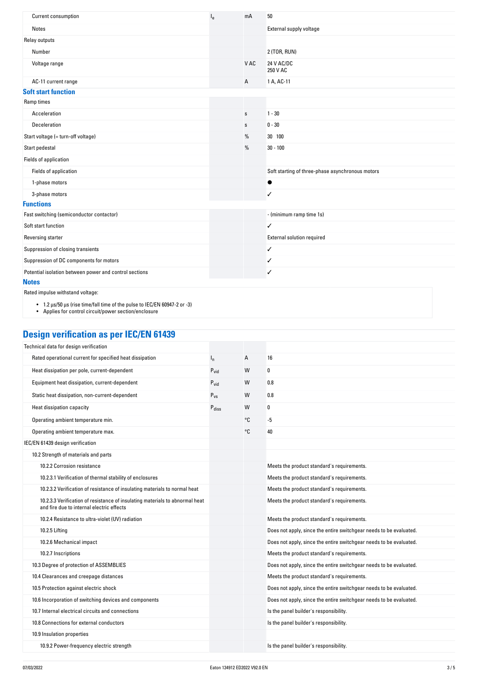| Current consumption                                    | l <sub>e</sub> | mA          | 50                                               |
|--------------------------------------------------------|----------------|-------------|--------------------------------------------------|
| Notes                                                  |                |             | External supply voltage                          |
| Relay outputs                                          |                |             |                                                  |
| Number                                                 |                |             | 2 (TOR, RUN)                                     |
| Voltage range                                          |                | V AC        | 24 V AC/DC<br>250 V AC                           |
| AC-11 current range                                    |                | A           | 1 A, AC-11                                       |
| <b>Soft start function</b>                             |                |             |                                                  |
| Ramp times                                             |                |             |                                                  |
| Acceleration                                           |                | s           | $1 - 30$                                         |
| Deceleration                                           |                | $\mathbf S$ | $0 - 30$                                         |
| Start voltage (= turn-off voltage)                     |                | %           | 30 100                                           |
| Start pedestal                                         |                | %           | $30 - 100$                                       |
| Fields of application                                  |                |             |                                                  |
| Fields of application                                  |                |             | Soft starting of three-phase asynchronous motors |
| 1-phase motors                                         |                |             | $\bullet$                                        |
| 3-phase motors                                         |                |             | $\checkmark$                                     |
| <b>Functions</b>                                       |                |             |                                                  |
| Fast switching (semiconductor contactor)               |                |             | - (minimum ramp time 1s)                         |
| Soft start function                                    |                |             | ✓                                                |
| Reversing starter                                      |                |             | External solution required                       |
| Suppression of closing transients                      |                |             | ✓                                                |
| Suppression of DC components for motors                |                |             | ✓                                                |
| Potential isolation between power and control sections |                |             | ✓                                                |
| <b>Notes</b>                                           |                |             |                                                  |

Rated impulse withstand voltage:

• 1.2 µs/50 µs (rise time/fall time of the pulse to IEC/EN 60947‐2 or ‐3)

• Applies for control circuit/power section/enclosure

# **Design verification as per IEC/EN 61439**

| Technical data for design verification                                                                                    |                   |    |                                                                    |
|---------------------------------------------------------------------------------------------------------------------------|-------------------|----|--------------------------------------------------------------------|
| Rated operational current for specified heat dissipation                                                                  | $I_{n}$           | А  | 16                                                                 |
| Heat dissipation per pole, current-dependent                                                                              | $P_{\text{vid}}$  | W  | 0                                                                  |
| Equipment heat dissipation, current-dependent                                                                             | $P_{\text{vid}}$  | W  | 0.8                                                                |
| Static heat dissipation, non-current-dependent                                                                            | $P_{VS}$          | W  | 0.8                                                                |
| Heat dissipation capacity                                                                                                 | $P_{\text{diss}}$ | W  | 0                                                                  |
| Operating ambient temperature min.                                                                                        |                   | °C | $-5$                                                               |
| Operating ambient temperature max.                                                                                        |                   | °C | 40                                                                 |
| IEC/EN 61439 design verification                                                                                          |                   |    |                                                                    |
| 10.2 Strength of materials and parts                                                                                      |                   |    |                                                                    |
| 10.2.2 Corrosion resistance                                                                                               |                   |    | Meets the product standard's requirements.                         |
| 10.2.3.1 Verification of thermal stability of enclosures                                                                  |                   |    | Meets the product standard's requirements.                         |
| 10.2.3.2 Verification of resistance of insulating materials to normal heat                                                |                   |    | Meets the product standard's requirements.                         |
| 10.2.3.3 Verification of resistance of insulating materials to abnormal heat<br>and fire due to internal electric effects |                   |    | Meets the product standard's requirements.                         |
| 10.2.4 Resistance to ultra-violet (UV) radiation                                                                          |                   |    | Meets the product standard's requirements.                         |
| 10.2.5 Lifting                                                                                                            |                   |    | Does not apply, since the entire switchgear needs to be evaluated. |
| 10.2.6 Mechanical impact                                                                                                  |                   |    | Does not apply, since the entire switchgear needs to be evaluated. |
| 10.2.7 Inscriptions                                                                                                       |                   |    | Meets the product standard's requirements.                         |
| 10.3 Degree of protection of ASSEMBLIES                                                                                   |                   |    | Does not apply, since the entire switchgear needs to be evaluated. |
| 10.4 Clearances and creepage distances                                                                                    |                   |    | Meets the product standard's requirements.                         |
| 10.5 Protection against electric shock                                                                                    |                   |    | Does not apply, since the entire switchgear needs to be evaluated. |
| 10.6 Incorporation of switching devices and components                                                                    |                   |    | Does not apply, since the entire switchgear needs to be evaluated. |
| 10.7 Internal electrical circuits and connections                                                                         |                   |    | Is the panel builder's responsibility.                             |
| 10.8 Connections for external conductors                                                                                  |                   |    | Is the panel builder's responsibility.                             |
| 10.9 Insulation properties                                                                                                |                   |    |                                                                    |
| 10.9.2 Power-frequency electric strength                                                                                  |                   |    | Is the panel builder's responsibility.                             |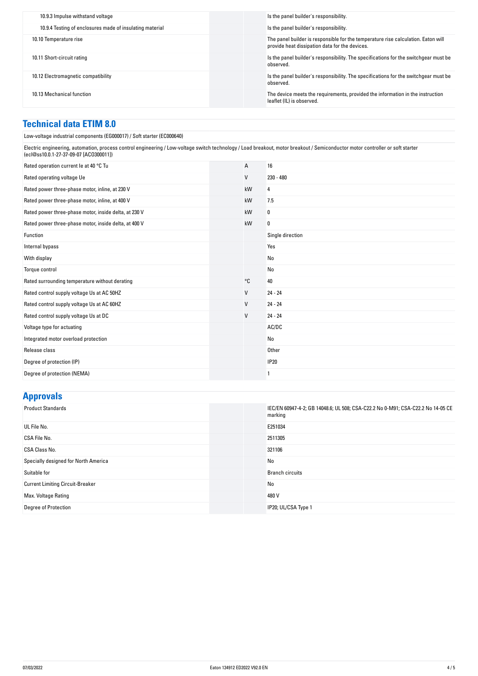| 10.9.4 Testing of enclosures made of insulating material<br>Is the panel builder's responsibility.                                                            |  |
|---------------------------------------------------------------------------------------------------------------------------------------------------------------|--|
|                                                                                                                                                               |  |
| The panel builder is responsible for the temperature rise calculation. Eaton will<br>10.10 Temperature rise<br>provide heat dissipation data for the devices. |  |
| Is the panel builder's responsibility. The specifications for the switchgear must be<br>10.11 Short-circuit rating<br>observed.                               |  |
| Is the panel builder's responsibility. The specifications for the switchgear must be<br>10.12 Electromagnetic compatibility<br>observed.                      |  |
| The device meets the requirements, provided the information in the instruction<br>10.13 Mechanical function<br>leaflet (IL) is observed.                      |  |

## **Technical data ETIM 8.0**

| Low-voltage industrial components (EG000017) / Soft starter (EC000640)                                                                                                                                                   |              |                  |  |
|--------------------------------------------------------------------------------------------------------------------------------------------------------------------------------------------------------------------------|--------------|------------------|--|
| Electric engineering, automation, process control engineering / Low-voltage switch technology / Load breakout, motor breakout / Semiconductor motor controller or soft starter<br>(ecl@ss10.0.1-27-37-09-07 [AC0300011]) |              |                  |  |
| Rated operation current le at 40 °C Tu                                                                                                                                                                                   | А            | 16               |  |
| Rated operating voltage Ue                                                                                                                                                                                               | V            | $230 - 480$      |  |
| Rated power three-phase motor, inline, at 230 V                                                                                                                                                                          | kW           | 4                |  |
| Rated power three-phase motor, inline, at 400 V                                                                                                                                                                          | kW           | 7.5              |  |
| Rated power three-phase motor, inside delta, at 230 V                                                                                                                                                                    | kW           | 0                |  |
| Rated power three-phase motor, inside delta, at 400 V                                                                                                                                                                    | kW           | 0                |  |
| Function                                                                                                                                                                                                                 |              | Single direction |  |
| Internal bypass                                                                                                                                                                                                          |              | Yes              |  |
| With display                                                                                                                                                                                                             |              | No               |  |
| Torque control                                                                                                                                                                                                           |              | No               |  |
| Rated surrounding temperature without derating                                                                                                                                                                           | °C           | 40               |  |
| Rated control supply voltage Us at AC 50HZ                                                                                                                                                                               | V            | $24 - 24$        |  |
| Rated control supply voltage Us at AC 60HZ                                                                                                                                                                               | $\mathsf{V}$ | $24 - 24$        |  |
| Rated control supply voltage Us at DC                                                                                                                                                                                    | V            | $24 - 24$        |  |
| Voltage type for actuating                                                                                                                                                                                               |              | AC/DC            |  |
| Integrated motor overload protection                                                                                                                                                                                     |              | No               |  |
| Release class                                                                                                                                                                                                            |              | Other            |  |
| Degree of protection (IP)                                                                                                                                                                                                |              | <b>IP20</b>      |  |
| Degree of protection (NEMA)                                                                                                                                                                                              |              | 1                |  |
|                                                                                                                                                                                                                          |              |                  |  |

# **Approvals**

| <b>Product Standards</b>                | IEC/EN 60947-4-2; GB 14048.6; UL 508; CSA-C22.2 No 0-M91; CSA-C22.2 No 14-05 CE<br>marking |
|-----------------------------------------|--------------------------------------------------------------------------------------------|
| UL File No.                             | E251034                                                                                    |
| CSA File No.                            | 2511305                                                                                    |
| <b>CSA Class No.</b>                    | 321106                                                                                     |
| Specially designed for North America    | No                                                                                         |
| Suitable for                            | <b>Branch circuits</b>                                                                     |
| <b>Current Limiting Circuit-Breaker</b> | No                                                                                         |
| Max. Voltage Rating                     | 480 V                                                                                      |
| <b>Degree of Protection</b>             | IP20; UL/CSA Type 1                                                                        |